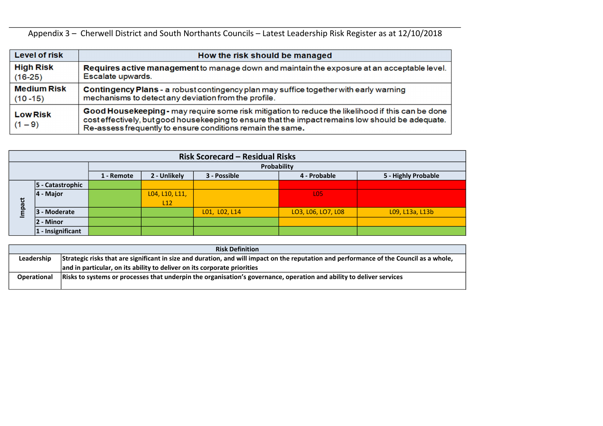|                    | <b>Risk Definition</b>                                                                                                                  |
|--------------------|-----------------------------------------------------------------------------------------------------------------------------------------|
| Leadership         | Strategic risks that are significant in size and duration, and will impact on the reputation and performance of the Council as a whole, |
|                    | and in particular, on its ability to deliver on its corporate priorities                                                                |
| <b>Operational</b> | Risks to systems or processes that underpin the organisation's governance, operation and ability to deliver services                    |
|                    |                                                                                                                                         |



Appendix 3 – Cherwell District and South Northants Councils – Latest Leadership Risk Register as at 12/10/2018

| Level of risk                | How the risk should be managed                                                                                                                                                                                                                                       |
|------------------------------|----------------------------------------------------------------------------------------------------------------------------------------------------------------------------------------------------------------------------------------------------------------------|
| <b>High Risk</b>             | Requires active management to manage down and maintain the exposure at an acceptable level.                                                                                                                                                                          |
| $(16-25)$                    | Escalate upwards.                                                                                                                                                                                                                                                    |
| <b>Medium Risk</b>           | Contingency Plans - a robust contingency plan may suffice together with early warning                                                                                                                                                                                |
| $(10 - 15)$                  | mechanisms to detect any deviation from the profile.                                                                                                                                                                                                                 |
| <b>Low Risk</b><br>$(1 - 9)$ | Good Housekeeping - may require some risk mitigation to reduce the likelihood if this can be done<br>cost effectively, but good housekeeping to ensure that the impact remains low should be adequate.<br>Re-assess frequently to ensure conditions remain the same. |

|                                                                                                                                                       |                      |  |            |                | <b>Risk Scorecard - Residual Risks</b> |                    |                     |  |  |  |  |
|-------------------------------------------------------------------------------------------------------------------------------------------------------|----------------------|--|------------|----------------|----------------------------------------|--------------------|---------------------|--|--|--|--|
|                                                                                                                                                       |                      |  |            |                |                                        | Probability        |                     |  |  |  |  |
|                                                                                                                                                       |                      |  | 1 - Remote | 2 - Unlikely   | 3 - Possible                           | 4 - Probable       | 5 - Highly Probable |  |  |  |  |
|                                                                                                                                                       | 5 - Catastrophic     |  |            |                |                                        |                    |                     |  |  |  |  |
| 4 - Major                                                                                                                                             |                      |  |            | L04, L10, L11, |                                        | <b>LO5</b>         |                     |  |  |  |  |
|                                                                                                                                                       |                      |  |            | L12            |                                        |                    |                     |  |  |  |  |
| mpact                                                                                                                                                 | 3 - Moderate         |  |            |                | L01, L02, L14                          | LO3, L06, LO7, L08 | L09, L13a, L13b     |  |  |  |  |
|                                                                                                                                                       | : - Minor            |  |            |                |                                        |                    |                     |  |  |  |  |
|                                                                                                                                                       | $ 1 -$ Insignificant |  |            |                |                                        |                    |                     |  |  |  |  |
|                                                                                                                                                       |                      |  |            |                |                                        |                    |                     |  |  |  |  |
|                                                                                                                                                       |                      |  |            |                | <b>Risk Definition</b>                 |                    |                     |  |  |  |  |
| Strategic risks that are significant in size and duration, and will impact on the reputation and performance of the Council as a whole,<br>Leadership |                      |  |            |                |                                        |                    |                     |  |  |  |  |
| and in particular, on its ability to deliver on its corporate priorities                                                                              |                      |  |            |                |                                        |                    |                     |  |  |  |  |
| Risks to systems or processes that underpin the organisation's governance, operation and ability to deliver services<br><b>Operational</b>            |                      |  |            |                |                                        |                    |                     |  |  |  |  |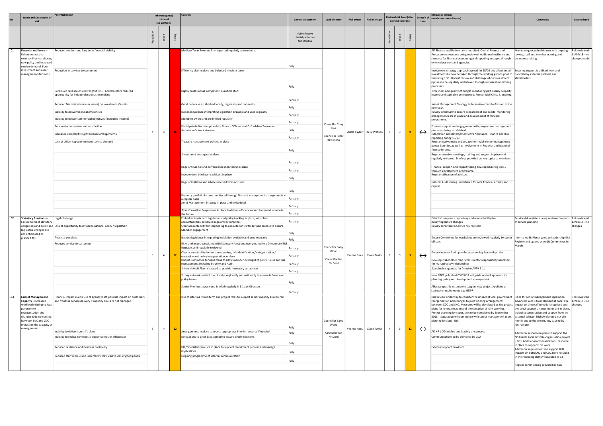| Ref             | <b>Name and Description of</b>                                                                                                                                                                                     | <b>Potential impact</b>                                                                                                                                                                                                                                                                                                                                                                                                                                                                                                                | Inherent (gross)<br>risk level<br>(no Controls) |                 | Controls                                                                                                                                                                                                                                                                                                                                                                                                                                                                                                                                                                                                                                                                                                                                                                                                                                                                                                                                                                                | <b>Control assessment</b>                                                                                                                                   | <b>Lead Member</b>                                                        | <b>Risk owner</b> | <b>Risk manager</b>         |                         | existing controls)      | Residual risk level (after | Direct'n of<br>travel | <b>Mitigating actions</b><br>(to address control issues)                                                                                                                                                                                                                                                                                                                                                                                                                                                                                                                                                                                                                                                                                                                                                                                                                                                                                                                                                                                                                                                                                                                                                                                                                                                                                                                                                                                                                                                                                                                                                                                                                                      | <b>Comments</b>                                                                                                                                                                                                                                                                                                                                                                                                                                                                                                                                              | Last updated                                     |
|-----------------|--------------------------------------------------------------------------------------------------------------------------------------------------------------------------------------------------------------------|----------------------------------------------------------------------------------------------------------------------------------------------------------------------------------------------------------------------------------------------------------------------------------------------------------------------------------------------------------------------------------------------------------------------------------------------------------------------------------------------------------------------------------------|-------------------------------------------------|-----------------|-----------------------------------------------------------------------------------------------------------------------------------------------------------------------------------------------------------------------------------------------------------------------------------------------------------------------------------------------------------------------------------------------------------------------------------------------------------------------------------------------------------------------------------------------------------------------------------------------------------------------------------------------------------------------------------------------------------------------------------------------------------------------------------------------------------------------------------------------------------------------------------------------------------------------------------------------------------------------------------------|-------------------------------------------------------------------------------------------------------------------------------------------------------------|---------------------------------------------------------------------------|-------------------|-----------------------------|-------------------------|-------------------------|----------------------------|-----------------------|-----------------------------------------------------------------------------------------------------------------------------------------------------------------------------------------------------------------------------------------------------------------------------------------------------------------------------------------------------------------------------------------------------------------------------------------------------------------------------------------------------------------------------------------------------------------------------------------------------------------------------------------------------------------------------------------------------------------------------------------------------------------------------------------------------------------------------------------------------------------------------------------------------------------------------------------------------------------------------------------------------------------------------------------------------------------------------------------------------------------------------------------------------------------------------------------------------------------------------------------------------------------------------------------------------------------------------------------------------------------------------------------------------------------------------------------------------------------------------------------------------------------------------------------------------------------------------------------------------------------------------------------------------------------------------------------------|--------------------------------------------------------------------------------------------------------------------------------------------------------------------------------------------------------------------------------------------------------------------------------------------------------------------------------------------------------------------------------------------------------------------------------------------------------------------------------------------------------------------------------------------------------------|--------------------------------------------------|
|                 |                                                                                                                                                                                                                    |                                                                                                                                                                                                                                                                                                                                                                                                                                                                                                                                        |                                                 |                 |                                                                                                                                                                                                                                                                                                                                                                                                                                                                                                                                                                                                                                                                                                                                                                                                                                                                                                                                                                                         | Fully effective<br>Partially effective<br>Not effective                                                                                                     |                                                                           |                   |                             |                         |                         |                            |                       |                                                                                                                                                                                                                                                                                                                                                                                                                                                                                                                                                                                                                                                                                                                                                                                                                                                                                                                                                                                                                                                                                                                                                                                                                                                                                                                                                                                                                                                                                                                                                                                                                                                                                               |                                                                                                                                                                                                                                                                                                                                                                                                                                                                                                                                                              |                                                  |
|                 | Financial resilience -<br>Failure to react to<br>external financial shocks,<br>new policy and increased<br>service demand. Poor<br>investment and asset<br>management decisions.                                   | Reduced medium and long term financial viability<br>Reduction in services to customers<br>Continued reliance on central govt (RSG) and therefore reduced<br>opportunity for independent decision making<br>Reduced financial returns (or losses) on investments/assets<br>Inability to deliver financial efficiencies<br>Inability to deliver commercial objectives (increased income)<br>Poor customer service and satisfaction<br>Increased complexity in governance arrangements<br>Lack of officer capacity to meet service demand | $\overline{4}$<br>$\overline{4}$                |                 | Medium Term Revenue Plan reported regularly to members.<br>Efficiency plan in place and balanced medium term<br>Highly professional, competent, qualified staff<br>Good networks established locally, regionally and nationally<br>National guidance interpreting legislation available and used regularly<br>Members aware and are briefed regularly<br>Participate in Northamptonshire Finance Officers and Oxfordshire Treasurers'<br>Association's work streams<br>Treasury management policies in place<br>Investment strategies in place<br>Regular financial and performance monitoring in place<br>Independent third party advisers in place<br>Regular bulletins and advice received from advisers<br>Property portfolio income monitored through financial management arrangements on<br>a regular basis<br>Asset Management Strategy in place and embedded.<br>Transformation Programme in place to deliver efficiencies and increased income in                             | Fully<br>Fully<br>Partially<br>Fully<br>Partially<br>Partially<br> Fully<br>Partially<br>Fully<br>Partially<br>Partially<br>Fully<br>Partially<br>Partially | <b>Councillor Tony</b><br>– Illot<br><b>Councillor Peter</b><br>Rawlinson |                   | Adele Taylor   Kelly Watson | $\overline{\mathbf{3}}$ | $\mathbf{3}$            |                            | $\leftrightarrow$     | AD Finance and Performance recruited. Overall Finance and<br>Procurement resource being reviewed. Additional resilience and<br>resource for financial accounting and reporting engaged through   awareness raising.<br>external partners and agencies.<br>Investment strategy approach agreed for 18/19 and all potential [Ensuring support is utilised from and<br>investments to now be taken through the working groups prior to $ $ provided by external partners and<br>formal sign off. Robust review and challenge of our investment<br>options to be regularly undertaken through our usual monitoring<br>processes.<br>Timeliness and quality of budget monitoring particularly property<br>income and capital to be improved. Project with Civica is ongoing.<br>Asset Management Strategy to be reviewed and refreshed in the<br>new year.<br>Review of BUILD! to ensure procurement and capital monitoring<br>arrangements are in place and development of forward<br>programme.<br>Finance support and engagement with programme management<br>processes being established.<br>Integration and development of Performance, Finance and Risk<br>reporting during 18/19.<br>Regular involvement and engagement with senior management<br>across Counties as well as involvement in Regional and National<br>finance forums.<br>Regular member meetings, training and support in place and<br>regularly reviewed. Briefings provided on key topics to members.<br>Financial support and capacity being developed during 18/19<br>through development programme.<br>Regular utilisation of advisors.<br>Internal Audits being undertaken for core financial activity and<br>capital. | Maintaining focus in this area with ongoing<br>review, staff and member training and<br>stakeholders.                                                                                                                                                                                                                                                                                                                                                                                                                                                        | Risk reviewed -<br>11/10/18 - No<br>changes made |
| LO <sub>2</sub> | <b>Statutory functions -</b><br>Failure to meet statutory<br>legislative changes are<br>not anticipated or<br>planned for.                                                                                         | Legal challenge<br>obligations and policy and Loss of opportunity to influence national policy / legislation<br>Financial penalties<br>Reduced service to customers                                                                                                                                                                                                                                                                                                                                                                    | $\overline{4}$                                  | 12 <sub>2</sub> | the future<br>Embedded system of legislation and policy tracking In place, with clear<br>accountabilities, reviewed regularly by Directors<br>Clear accountability for responding to consultations with defined process to ensure<br>Member engagement<br>National guidance interpreting legislation available and used regularly<br>Risks and issues associated with Statutory functions incorporated into Directorate Risk<br>Registers and regularly reviewed<br>Clear accountability for horizon scanning, risk identification / categorisation /<br>escalation and policy interpretation in place<br>Robust Committee forward plans to allow member oversight of policy issues and risk<br>management, including Scrutiny and Audit<br>Internal Audit Plan risk based to provide necessary assurances<br>Strong networks established locally, regionally and nationally to ensure influence on<br>policy issues<br>Senior Members aware and briefed regularly in 1:1s by Directors | Partially<br>Partially<br>Fully<br>Partially<br>Partially<br>Partially<br>Partially<br>Fully<br>Partially                                                   | <b>Councillor Barry</b><br>Wood<br>Councillor Ian<br>McCord               |                   | Yvonne Rees   Claire Taylor | 3                       |                         |                            | $\leftrightarrow$     | Establish corporate repository and accountability for<br>policy/legislative changes<br>Review Directorate/Service risk registers<br>Ensure Committee forward plans are reviewed regularly by senior   Internal Audit Plan aligned to Leadership Risk  <br>officers<br>insure Internal Audit plan focusses on key leadership risks<br>Develop stakeholder map, with Director responsibility allocated<br>for managing key relationships<br>Standardise agendas for Director / PFH 1:1s<br>New NPPF published 05/03/18 will guide revised approach to<br>planning policy and development management.<br>Allocate specific resource to support new projects/policies or<br>statutory requirements e.g. GDPR                                                                                                                                                                                                                                                                                                                                                                                                                                                                                                                                                                                                                                                                                                                                                                                                                                                                                                                                                                                      | Service risk registers being reviewed as part   Risk reviewed<br>of service planning.<br>Register and agreed at Audit Committees in<br>March.                                                                                                                                                                                                                                                                                                                                                                                                                | 12/10/18 - No<br>changes                         |
| LO3             | <b>Lack of Management</b><br>Capacity - Increased<br>workload relating to local<br>government<br>reorganisation and<br>changes to joint working<br>between SNC and CDC<br>impact on the capacity of<br>management. | Financial impact due to use of agency staff, possible impact on customers<br>and frontline service delivery if capacity risks are not managed.<br>Inability to deliver council's plans<br>Inability to realise commercial opportunities or efficiencies<br>Reduced resilience and business continuity<br>Reduced staff morale and uncertainty may lead to loss of good people                                                                                                                                                          | $\overline{4}$<br>$\mathbf{R}$                  | 12              | Use of interims / fixed term and project roles to support senior capacity as required.<br>Arrangements in place to source appropriate interim resource if needed<br>Delegations to Chief Exec agreed to ensure timely decisions<br>HR / Specialist resource in place to support recruitment process and manage<br>implications<br>Ongoing programme of internal communication                                                                                                                                                                                                                                                                                                                                                                                                                                                                                                                                                                                                           | Fully<br>Fully<br>Fully<br>Fully<br> Fully                                                                                                                  | Councillor Barry<br>Wood<br>Councillor Ian<br>McCord                      |                   | Yvonne Rees   Claire Taylor | $\overline{4}$          | $\overline{\mathbf{3}}$ | 12                         | $\leftrightarrow$     | Risk review underway to consider the impact of local government   Plans for senior management separation<br>reorganisation and changes to joint working arrangements<br>between CDC and SNC. Measures will be developed as the project  impact on those affected is recognised and<br>plans for re-organisation and the cessation of joint working.<br>Project planning for separation to be completed by September<br>2018. Separation will commence with senior management team, external advisor. Slightly elevated risk this<br>planned for Sept - Oct.<br>AD HR / OD briefed and leading the process<br>Communications to be delivered by CEO<br>External support provided.                                                                                                                                                                                                                                                                                                                                                                                                                                                                                                                                                                                                                                                                                                                                                                                                                                                                                                                                                                                                              | advanced. Aim is to implement at pace. The<br>the usual support arrangements are in place,<br>including consultation and support from an<br>month due to the uncertainty caused by<br>restructure.<br>Additional resource in place to support the<br>Northants Local Govt Re-organisation project<br>(LGR). Additional communications resource<br>in place to support LGR work.<br>Additional requirements to support LGR<br>impacts on both SNC and CDC have resulted<br>in the risk being slightly escalated to 12.<br>Regular comms being provided by CEX | Risk reviewed<br>12/10/18 - No<br>changes        |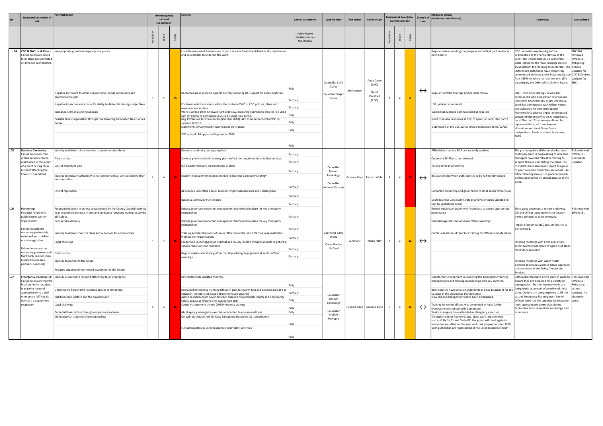|     | <b>Name and Description of</b>                                                                                                                                                                                                                                                                                                           | otential impact                                                                                                                                                                                                                                                                                                                                                                               |                         | Inherent (gross)            |    | Controls                                                                                                                                                                                                                                                                                                                                                                                                                                                                                                                                                                                   |                                                                              |                                                                      |                   |                                                            |                    | Residual risk level (after<br>Direct'n of |                   | <b>Mitigating actions</b><br>(to address control issues)                                                                                                                                                                                                                                                                                                                                                                                                                                                                                                                                                                                                                                                                                                                      |                                                                                                                                                                                                                                                                                                                                                                                                                                                                                    |                                                                                      |
|-----|------------------------------------------------------------------------------------------------------------------------------------------------------------------------------------------------------------------------------------------------------------------------------------------------------------------------------------------|-----------------------------------------------------------------------------------------------------------------------------------------------------------------------------------------------------------------------------------------------------------------------------------------------------------------------------------------------------------------------------------------------|-------------------------|-----------------------------|----|--------------------------------------------------------------------------------------------------------------------------------------------------------------------------------------------------------------------------------------------------------------------------------------------------------------------------------------------------------------------------------------------------------------------------------------------------------------------------------------------------------------------------------------------------------------------------------------------|------------------------------------------------------------------------------|----------------------------------------------------------------------|-------------------|------------------------------------------------------------|--------------------|-------------------------------------------|-------------------|-------------------------------------------------------------------------------------------------------------------------------------------------------------------------------------------------------------------------------------------------------------------------------------------------------------------------------------------------------------------------------------------------------------------------------------------------------------------------------------------------------------------------------------------------------------------------------------------------------------------------------------------------------------------------------------------------------------------------------------------------------------------------------|------------------------------------------------------------------------------------------------------------------------------------------------------------------------------------------------------------------------------------------------------------------------------------------------------------------------------------------------------------------------------------------------------------------------------------------------------------------------------------|--------------------------------------------------------------------------------------|
|     |                                                                                                                                                                                                                                                                                                                                          |                                                                                                                                                                                                                                                                                                                                                                                               |                         | risk level<br>(no Controls) |    |                                                                                                                                                                                                                                                                                                                                                                                                                                                                                                                                                                                            | <b>Control assessment</b>                                                    | <b>Lead Member</b>                                                   | <b>Risk owner</b> | Risk manager                                               | existing controls) |                                           | travel            |                                                                                                                                                                                                                                                                                                                                                                                                                                                                                                                                                                                                                                                                                                                                                                               | <b>Comments</b>                                                                                                                                                                                                                                                                                                                                                                                                                                                                    | Last updated                                                                         |
|     |                                                                                                                                                                                                                                                                                                                                          |                                                                                                                                                                                                                                                                                                                                                                                               |                         |                             | Rã |                                                                                                                                                                                                                                                                                                                                                                                                                                                                                                                                                                                            | Fully effective<br>Partially effective<br>Not effective                      |                                                                      |                   |                                                            |                    |                                           |                   |                                                                                                                                                                                                                                                                                                                                                                                                                                                                                                                                                                                                                                                                                                                                                                               |                                                                                                                                                                                                                                                                                                                                                                                                                                                                                    |                                                                                      |
|     | L04   CDC & SNC Local Plans -<br>Failure to ensure sound<br>local plans are submitted<br>on time for each District.                                                                                                                                                                                                                      | Inappropriate growth in inappropriate places<br>Negative (or failure to optimise) economic, social, community and                                                                                                                                                                                                                                                                             |                         |                             |    | Local Development Schemes are in place at each Council which detail the timeframes<br>and deliverables to underpin the work<br>Resources are in place to support delivery including QC support for each Local Plan.                                                                                                                                                                                                                                                                                                                                                                        |                                                                              | <b>Councillor Colin</b><br>Clarke                                    | Jim Newton        | Andy Darcy<br>(SNC)<br>David                               |                    |                                           | $\leftrightarrow$ | Regular review meetings on progress and critical path review at<br>each Council<br>Regular Portfolio briefings and political review                                                                                                                                                                                                                                                                                                                                                                                                                                                                                                                                                                                                                                           | CDC - A preliminary hearing for the<br>Examination of the Partial Review of the<br>Local Plan is to be held on 28 September<br>2018. Dates for the main hearings are still<br>awaited from the Planning Inspectorate. The Actions<br>Oxfordshire authorities have collectively<br>commenced work on a Joint Statutory Spatial CDC & Controls<br>Plan (JSSP) for which recruitment of staff is<br>on-going by the Oxfordshire Growth Board.<br>SNC - Joint Core Strategy Review has | <b>SNC Risk</b><br>eviewed<br>)9/10/18 -<br>Mitigating<br>updated for<br>updated for |
|     |                                                                                                                                                                                                                                                                                                                                          | environmental gain<br>Negative impact on each council's ability to deliver its strategic objectives<br>Increased costs in planning appeals<br>Possible financial penalties through not delivering forecasted New Homes                                                                                                                                                                        | $\overline{\mathbf{3}}$ | 5 <sub>5</sub>              | 15 | For issues which are solely within the control of SNC or CDC policies, plans and<br>resources are in place<br>Work is at Reg 19 on Cherwell Partial Review, preparing submission plan for Feb 2018<br>sign off and to re-commence in 2018 on Local Plan part 2.<br>Reg 19 Plan out for consultation (October 2018). Aim to be submitted to PINS by<br>January 24 2019.<br>Statements of Community Involvement are in place.<br>SNC revised LDS approved September 2018                                                                                                                     | Partially<br>Partially<br> Fully<br>Fully<br>Fully                           | <b>Councillor Roge</b><br>Clarke                                     |                   | Peckford<br>(CDC)                                          |                    | $\sim$ 4<br>8                             |                   | LDS updated as required<br>Additional evidence commissioned as required<br>Need to review resources at CDC to speed up Local Plan part 2.<br>Submission of the CDC partial review took place on 05/03/18.                                                                                                                                                                                                                                                                                                                                                                                                                                                                                                                                                                     | commenced with preparation of proposed<br>timetable, resources and scope underway.<br>Work has commenced with Milton Keynes<br>and Aylesbury for new Joint Spatial<br>Framework to address impact of proposed<br>growth of Milton Keynes on its neighbours.<br>Local Plan part 2 has been published for<br>representations, with employment<br>allocations and Local Green Space<br>designations. Aim is to submit in January<br>2019.                                             |                                                                                      |
| LO5 | <b>Business Continuity -</b><br>Failure to ensure that<br>critical services can be<br>maintained in the event<br>of a short or long term<br>incident affecting the<br>Councils' operations                                                                                                                                               | Inability to deliver critical services to customers/residents<br>inancial loss<br>Loss of important data<br>Inability to recover sufficiently to restore non-critical services before they<br>become critical<br>Loss of reputation                                                                                                                                                           | $\overline{a}$          | $\overline{4}$              |    | Business continuity strategy in place<br>Services prioritised and recovery plans reflect the requirements of critical services<br>ICT disaster recovery arrangements in place<br>Incident management team identified in Business Continuity Strategy<br>All services undertake annual business impact assessments and update plans<br><b>Business Continuity Plans tested</b>                                                                                                                                                                                                              | Partially<br>Partially<br> Partially<br>Partially<br> Partially<br>Partially | Councillor<br>Dermot<br>Bambridge<br>Councillor<br>Andrew McHugh     |                   | Graeme Kane   Richard Webb                                 | $\overline{4}$     | $\sim$ 4                                  | $\leftrightarrow$ | All individual service BC Plans recently updated<br>Corporate BC Plan to be reviewed<br>Testing to be programmed<br>3C solutions between both councils to be further developed<br>Corporate ownership and governance to sit at senior officer level<br>Draft Business Continuity Strategy and Policy being updated for<br>sign by Leadership Team.                                                                                                                                                                                                                                                                                                                                                                                                                            | The plan to update all the service business<br>continuity plans is progresssing to schedule.<br>Managers have had refresher training to<br>support them in completing the plans. The<br>first drafts have also been subject to a peer<br>to peer review to check they are robust. An<br>officer Steering Group is in place to provide<br>professional advice on critical aspects of the<br>plans.                                                                                  | Risk reviewed<br>9/10/18 -<br>omments<br>updated.                                    |
| L06 | <b>Partnering</b><br>Financial failure of a<br>public sector partner<br>organisation<br>Failure to build the<br>necessary partnership<br>relationships to deliver<br>our strategic plan.<br>Failure to ensure the<br>necessary governance of Financial loss<br>third party relationships<br>(council businesses,<br>partners, suppliers) | Potential reduction in service areas funded by the County Council resulting<br>in an unplanned increase in demand on district functions leading to service<br>difficulties.<br>Poor service delivery<br>Inability to deliver council's plans and outcomes for communities<br>Legal challenge<br>Inability to partner in the future<br>Reduced opportunity for inward investment in the future | $\overline{4}$          | $\overline{4}$              |    | Robust governance/contract management framework in place for key third party<br>relationships<br>Robust governance/contract management framework in place for key third party<br>relationships<br>Fraining and development of senior officers/members to fulfil their responsibilities<br>with partner organisations<br>Leader and CEO engaging at National and county level to mitigate impacts of potential<br>service reductions for residents<br>Regular review and sharing of partnership activity/engagement at senior officer<br>meetings                                           | Partially<br>Partially<br>Partially<br>Partially<br>Partially                | Councillor Barry<br>Wood<br>Councillor Ian<br>McCord                 | Jane Carr         | Nicola Riley   4   3 <mark>  12   &lt;-&gt;&gt;&gt;</mark> |                    |                                           |                   | Review existing arrangements/ contracts to ensure appropriate<br>governance<br>Standard agenda item at senior officer meetings<br>Continue Institute of Directors training for Officers and Members                                                                                                                                                                                                                                                                                                                                                                                                                                                                                                                                                                           | Third party governance review underway.<br>Cllr and Officer appointments to Council<br>owned companies to be reviewed.<br>Impact of potential NCC cuts on this risk to<br>be reviewed.<br>Ongoing meetings with Chief Execs from<br>across Northamptonshire to agree next steps<br>for Unitary approach<br>Ongoing meetings with wider health<br>partners to ensure evidence based approach<br>to investment in Wellbeing Directorate<br>Services                                  | Risk reviewed<br>10/10/18.                                                           |
| L07 | Failure to ensure that the<br>local authority has plans<br>in place to respond<br>appropriately to a civil<br>emergency fulfilling its<br>duty as a category one<br>responder                                                                                                                                                            | <b>Emergency Planning (EP)</b> Inability of council to respond effectively to an emergency<br>Unnecessary hardship to residents and/or communities<br>Risk to human welfare and the environment<br>Legal challenge<br>Potential financial loss through compensation claims<br>Ineffective Cat 1 partnership relationships                                                                     | $\overline{a}$          | $\overline{4}$              |    | Key contact lists updated monthly.<br>Dedicated Emergency Planning Officer in post to review, test and exercise plan and to<br>establish, monitor and ensure all elements are covered<br>Added resilience from cover between shared Environmental Health and Community<br>Safety Teams as officers with appropriate skill<br>Senior management attend Civil Emergency training<br>Multi agency emergency exercises conducted to ensure readiness<br>On-call rota established for Duty Emergency Response Co- coordinators<br>Full participation in Local Resilience Forum (LRF) activities | -ullv<br>Partially<br>Fully<br>Fully<br>Fully<br>Fully                       | Councillor<br>Dermot<br>Bambridge<br>Councillor<br>Andrew<br>McHughy |                   | Graeme Kane   Graeme Kane                                  | $\overline{4}$     | 12 <sup>7</sup>                           | $\leftrightarrow$ | Director for Environment is reviewing the Emergency Planning<br>arrangements and forming relationships with key partners.<br>Both Councils have cover arrangements in place to account for the being made as a result of a review of these<br>vacancy in the Emergency Planning post.<br>New call out arrangements have been established.<br>Fraining for senior officers was completed in June; further<br>exercises were completed in September.<br>Senior managers have attended multi-agency exercises.<br>Through the Inter Agency Group, plans were implemented<br>successfully for F1 and Moto GP; the group will meet again in<br>November to reflect on this year and start preparations for 2019.<br>Both authorities are represented at the Local Resilience Forum | Both authorities have active plans in place to Risk reviewed<br>ensure they are prepared for a variety of<br>emergencies. Further improvements are<br>plans. Options are being explored to fill the<br>vacant Emergency Planning post. Senior<br>Officers have had the opportunity to attend<br>multi agency training exercises during<br>September to increase their knowledge and<br>experience.                                                                                 | 09/10/18 -<br>Mitigating<br>actions<br>updated. No<br>change in<br>score.            |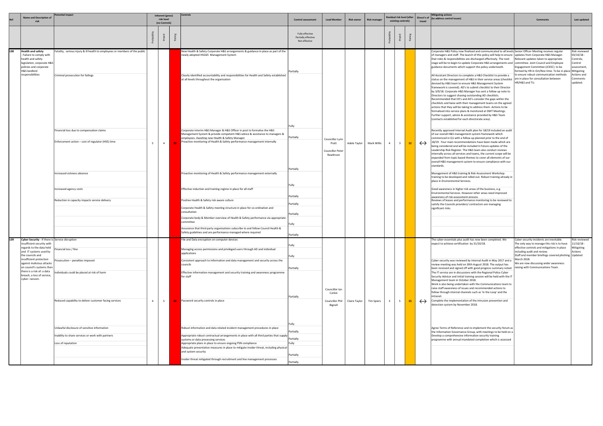| Ref | <b>Name and Description of</b><br>risk                                                                                                                                                                                                                                                                                    | <b>Potential impact</b>                                                                                                                                                                                                                                                                                                      | Inherent (gross)<br>risk level<br>(no Controls) |    | Controls                                                                                                                                                                                                                                                                                                                                                                                                                                                                                                                                                                                                                                                                                                                                                                                                                                                                                                                                                                                                                                                                                                        | <b>Control assessment</b>                                                                                           | <b>Lead Member</b>                                            | <b>Risk owner</b> | <b>Risk manager</b> | Residual risk level (after<br>existing controls) |    | travel            | <b>Mitigating actions</b><br>Direct'n of (to address control issues)                                                                                                                                                                                                                                                                                                                                                                                                                                                                                                                                                                                                                                                                                                                                                                                                                                                                                                                                                                                                                                                                                                                                                                                                                                                                                                                                                                                                                                                                                                                                                                                                                                                                                                                                                                                                                                                                                                                                                                                                                                                                                                                                                                                                                                                                                              | <b>Comments</b>                                                                                                                                                                                                                                                                                                            | Last updated                                                                                                            |
|-----|---------------------------------------------------------------------------------------------------------------------------------------------------------------------------------------------------------------------------------------------------------------------------------------------------------------------------|------------------------------------------------------------------------------------------------------------------------------------------------------------------------------------------------------------------------------------------------------------------------------------------------------------------------------|-------------------------------------------------|----|-----------------------------------------------------------------------------------------------------------------------------------------------------------------------------------------------------------------------------------------------------------------------------------------------------------------------------------------------------------------------------------------------------------------------------------------------------------------------------------------------------------------------------------------------------------------------------------------------------------------------------------------------------------------------------------------------------------------------------------------------------------------------------------------------------------------------------------------------------------------------------------------------------------------------------------------------------------------------------------------------------------------------------------------------------------------------------------------------------------------|---------------------------------------------------------------------------------------------------------------------|---------------------------------------------------------------|-------------------|---------------------|--------------------------------------------------|----|-------------------|-------------------------------------------------------------------------------------------------------------------------------------------------------------------------------------------------------------------------------------------------------------------------------------------------------------------------------------------------------------------------------------------------------------------------------------------------------------------------------------------------------------------------------------------------------------------------------------------------------------------------------------------------------------------------------------------------------------------------------------------------------------------------------------------------------------------------------------------------------------------------------------------------------------------------------------------------------------------------------------------------------------------------------------------------------------------------------------------------------------------------------------------------------------------------------------------------------------------------------------------------------------------------------------------------------------------------------------------------------------------------------------------------------------------------------------------------------------------------------------------------------------------------------------------------------------------------------------------------------------------------------------------------------------------------------------------------------------------------------------------------------------------------------------------------------------------------------------------------------------------------------------------------------------------------------------------------------------------------------------------------------------------------------------------------------------------------------------------------------------------------------------------------------------------------------------------------------------------------------------------------------------------------------------------------------------------------------------------------------------------|----------------------------------------------------------------------------------------------------------------------------------------------------------------------------------------------------------------------------------------------------------------------------------------------------------------------------|-------------------------------------------------------------------------------------------------------------------------|
|     |                                                                                                                                                                                                                                                                                                                           |                                                                                                                                                                                                                                                                                                                              |                                                 |    |                                                                                                                                                                                                                                                                                                                                                                                                                                                                                                                                                                                                                                                                                                                                                                                                                                                                                                                                                                                                                                                                                                                 | Fully effective<br>Partially effective<br>Not effective                                                             |                                                               |                   |                     |                                                  |    |                   |                                                                                                                                                                                                                                                                                                                                                                                                                                                                                                                                                                                                                                                                                                                                                                                                                                                                                                                                                                                                                                                                                                                                                                                                                                                                                                                                                                                                                                                                                                                                                                                                                                                                                                                                                                                                                                                                                                                                                                                                                                                                                                                                                                                                                                                                                                                                                                   |                                                                                                                                                                                                                                                                                                                            |                                                                                                                         |
|     | <b>Health and safety</b><br>- Failure to comply with<br>health and safety<br>legislation, corporate H&S<br>policies and corporate<br>H&S landlord<br>responsibilities                                                                                                                                                     | Fatality, serious injury & ill health to employees or members of the public<br>Criminal prosecution for failings<br>Financial loss due to compensation claims<br>Enforcement action - cost of regulator (HSE) time<br>Increased sickness absence<br>Increased agency costs<br>Reduction in capacity impacts service delivery | $\overline{4}$                                  |    | New Health & Safety Corporate H&S arrangements & guidance in place as part of the<br>newly adopted HSG65 Management System<br>Clearly identified accountability and responsibilities for Health and Safety established<br>at all levels throughout the organisation<br>Corporate Interim H&S Manager & H&S Officer in post to formalise the H&S<br>Management System & provide competent H&S advice & assistance to managers &<br>employees. Awaiting new Health & Safety Manager<br>Proactive monitoring of Health & Safety performance management internally<br>Proactive monitoring of Health & Safety performance management externally<br>Effective induction and training regime in place for all staff<br>Positive Health & Safety risk aware culture<br>Corporate Health & Safety meeting structure in place for co-ordination and<br>consultation<br>Corporate body & Member overview of Health & Safety performance via appropriate<br>committee<br>Assurance that third party organisations subscribe to and follow Council Health &<br>Safety guidelines and are performance managed where required | Partially<br> Fully<br>Partially<br>Partially<br>Fully<br>Partially<br>Partially<br>Partially<br>Fully<br>Partially | Councillor Lynn<br>Pratt<br>Councillor Peter<br>Rawlinson     | Adele Taylor      | Mark Willis         |                                                  | 12 | $\leftrightarrow$ | Corporate H&S Policy now finalised and communicated to all levels Senior Officer Meeting receives regular<br>of managers and staff. The launch of this policy will help to ensure  updates from Corporate H&S Manager.<br>that roles & responsibilities are discharged effectively. The next<br>stage will be to begin to update Corporate H&S arrangements and  committee. Joint Council and Employee<br>guidance documents which support the policy underneath.<br>All Assistant Directors to complete a H&S Checklist to provide a<br>status on the management of H&S in their service areas (checklist<br>devised by H&S team to ensure H&S Management System<br>framework is covered). AD's to submit checklist to their Director<br>by 3/9/18. Corporate H&S Manager has sent a follow up note to<br>Directors to suggest chasing outstanding AD checklists.<br>Recommended that ED's and AD's consider the gaps within the<br>checklists and liaise with their management teams on the agreed<br>actions that they will be taking to address them. Actions to be<br>formalised into service plans & monitored at DMT Meetings.<br>Further support, advice & assistance provided by H&S Team<br>(contacts established for each directorate area).<br>Recently approved Internal Audit plan for 18/19 included an audit<br>of our overall H&S management system framework which<br>commenced in Q1 with a follow up planned prior to the end of<br>18/19. Four main recommendations have been made which are<br>being considered and will be included in future updates of the<br>Leadership Risk Register. The H&S team also conduct reviews<br>internally across all services and teams, the current scope will be<br>expanded from topic-based themes to cover all elements of our<br>overall H&S management system to ensure compliance with our<br>standards.<br>Management of H&S training & Risk Assessment Workshop<br>training to be developed and rolled out. Robust training already in<br>place in Environmental Services.<br>Good awareness in higher risk areas of the business, e.g.<br>Environmental Services. However other areas need improved<br>awareness of risk assessment process<br>Reviews of leases and performance monitoring to be reviewed to<br>satisfy the Councils providers/ contractors are managing<br>significant risks. | Relevant updates taken to appropriate<br>Engagement Committee (JCEEC) to be<br>formed by HR in Oct/Nov time. To be in place<br>to ensure robust communication methods<br>are in place for consultation between<br>HR/H&S and TU.                                                                                           | Risk reviewed<br>13/10/18 -<br>Controls,<br>Control<br>assessment,<br>Mitigating<br>Actions and<br>Comments<br>updated. |
|     | Cyber Security - If there is Service disruption<br>insufficient security with<br>regards to the data held<br>and IT systems used by<br>the councils and<br>insufficient protection<br>against malicious attacks<br>on council's systems then<br>there is a risk of: a data<br>breach, a loss of service,<br>cyber-ransom. | Financial loss / fine<br>rosecution – penalties imposed<br>ndividuals could be placed at risk of harm<br>Reduced capability to deliver customer facing services<br>Unlawful disclosure of sensitive information<br>Inability to share services or work with partners<br>Loss of reputation                                   | 5 <sub>1</sub><br>$\overline{4}$                | 20 | ile and Data encryption on computer devices<br>Managing access permissions and privileged users through AD and individual<br>applications<br>Consistent approach to information and data management and security across the<br>councils<br>Effective information management and security training and awareness programme<br>for staff<br>Password security controls in place<br>Robust information and data related incident management procedures in place<br>Appropriate robust contractual arrangements in place with all third parties that supply<br>systems or data processing services<br>Appropriate plans in place to ensure ongoing PSN compliance<br>Adequate preventative measures in place to mitigate insider threat, including physical<br>and system security<br>Insider threat mitigated through recruitment and line management processes                                                                                                                                                                                                                                                    | Fully<br>Fully<br>Partially<br>Partially<br> Fully<br>Partially<br>Partially<br>Fully<br>Partially<br>Partially     | Councillor Ian<br>Corkin<br><b>Councillor Phil</b><br>Bignell | Claire Taylor     | <b>Tim Spiers</b>   | 5                                                | 15 | $\leftrightarrow$ | The cyber-essentials plus audit has now been completed. We<br>expect to achieve certification by 31/10/18.<br>Cyber-security was reviewed by Internal Audit in May 2017 and a<br>review meeting was held on 30th August 2018. The output has<br>been received and signed off with good progress summary noted.<br>The IT service are in discussions with the Regional Police Cyber<br>Security Advisor and initial training session will be held with the IT<br>Management team in October 2018.<br>Work is also being undertaken with the Communications team to<br>raise staff awareness of issues and recommended actions to<br>follow through internal channels such as 'In the Loop' and the<br>intranet.<br>Complete the implementation of the intrusion prevention and<br>detection system by November 2018.<br>Agree Terms of Reference and re-implement the security forum as<br>the Information Governance Group, with meetings to be held on a<br>Develop a comprehensive information security training<br>programme with annual mandated completion which is assessed                                                                                                                                                                                                                                                                                                                                                                                                                                                                                                                                                                                                                                                                                                                                                                                                                                                                                                                                                                                                                                                                                                                                                                                                                                                                                 | (Cyber security incidents are inevitable.<br>The only way to manage this risk is to have<br>effective controls and mitigations in place<br>including audit and review.<br>Staff and member briefings covered phishing Updated<br>March 2018.<br>We are now discussing wider awareness<br>raising with Communications Team. | Risk reviewed<br>11/10/18 -<br>Mitigating<br>Actions                                                                    |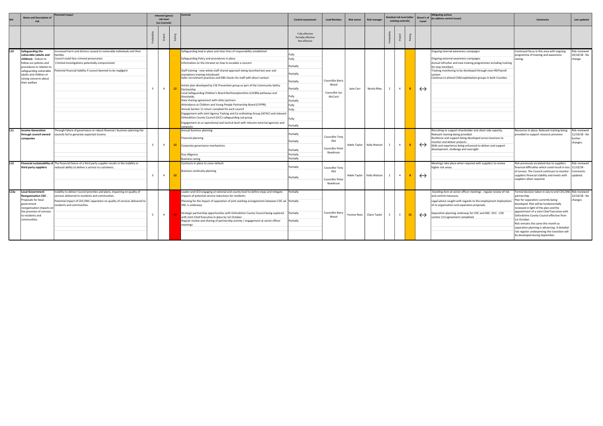|                 | <b>Name and Description o</b><br>risk                                                                                                                                                                                        | otential impact                                                                                                                                                                                                                                    | <b>Controls</b><br>Inherent (gross)<br>risk level<br>(no Controls) |                | <b>Control assessment</b> | <b>Lead Member</b>                                                                                                                                                                                                                                                                                                                                                                                                                                                                                                                                                                                                                                                                                                                                                                                                                                                                                                                                                                                       | <b>Risk owner</b>                                                                                                                | <b>Risk manager</b>                                                     |           | Residual risk level (after<br>existing controls) |                | Direct'n of<br>travel   | <b>Mitigating actions</b><br>(to address control issues) | Comments          | Last updated                                                                                                                                                                                                                                                                                                 |                                                                                                                                                                                                                                                                                                                                                                                                                                                                                            |                                                      |
|-----------------|------------------------------------------------------------------------------------------------------------------------------------------------------------------------------------------------------------------------------|----------------------------------------------------------------------------------------------------------------------------------------------------------------------------------------------------------------------------------------------------|--------------------------------------------------------------------|----------------|---------------------------|----------------------------------------------------------------------------------------------------------------------------------------------------------------------------------------------------------------------------------------------------------------------------------------------------------------------------------------------------------------------------------------------------------------------------------------------------------------------------------------------------------------------------------------------------------------------------------------------------------------------------------------------------------------------------------------------------------------------------------------------------------------------------------------------------------------------------------------------------------------------------------------------------------------------------------------------------------------------------------------------------------|----------------------------------------------------------------------------------------------------------------------------------|-------------------------------------------------------------------------|-----------|--------------------------------------------------|----------------|-------------------------|----------------------------------------------------------|-------------------|--------------------------------------------------------------------------------------------------------------------------------------------------------------------------------------------------------------------------------------------------------------------------------------------------------------|--------------------------------------------------------------------------------------------------------------------------------------------------------------------------------------------------------------------------------------------------------------------------------------------------------------------------------------------------------------------------------------------------------------------------------------------------------------------------------------------|------------------------------------------------------|
|                 |                                                                                                                                                                                                                              |                                                                                                                                                                                                                                                    |                                                                    |                | ≃                         |                                                                                                                                                                                                                                                                                                                                                                                                                                                                                                                                                                                                                                                                                                                                                                                                                                                                                                                                                                                                          | Fully effective<br>Partially effective<br>Not effective                                                                          |                                                                         |           |                                                  |                |                         |                                                          |                   |                                                                                                                                                                                                                                                                                                              |                                                                                                                                                                                                                                                                                                                                                                                                                                                                                            |                                                      |
| L <sub>10</sub> | Safeguarding the<br>vulnerable (adults and<br>children) - Failure to<br>follow our policies and<br>procedures in relation to<br>safeguarding vulnerable<br>adults and children or<br>raising concerns about<br>their welfare | Increased harm and distress caused to vulnerable individuals and their<br>amilies<br>Council could face criminal prosecution<br>Criminal investigations potentially compromised<br>Potential financial liability if council deemed to be negligent |                                                                    | $\overline{4}$ | 12                        | Safeguarding lead in place and clear lines of responsibility established<br>Safeguarding Policy and procedures in place<br>Information on the intranet on how to escalate a concern<br>Staff training - new whole staff shared approach being launched last year and<br>mandatory training introduced<br>Safer recruitment practices and DBS checks for staff with direct contact<br>Action plan developed by CSE Prevention group as part of the Community Safety<br>Partnership<br>Local Safeguarding Children's Board Northamptonshire (LSCBN) pathways and<br>thresholds<br>Data sharing agreement with other partners<br>Attendance at Children and Young People Partnership Board (CYPPB)<br>Annual Section 11 return complied for each council<br>Engagement with Joint Agency Tasking and Co-ordinating Group (JATAC) and relevant<br>Oxfordshire County Council (OCC) safeguarding sub group<br>Engagement at an operational and tactical level with relevant external agencies and<br>networks | Fully<br>Fully<br>Partially<br>Partially<br>Partially<br>Partially<br>Fully<br>Partially<br>Fully<br>Fully<br>Fully<br>Partially | <b>Councillor Barry</b><br>Wood<br>Councillor Ian<br>McCord             | Jane Carr | Nicola Riley                                     | $\overline{2}$ | $\overline{4}$          | 8                                                        | $\leftrightarrow$ | Ongoing internal awareness campaigns<br>Ongoing external awareness campaigns<br>Annual refresher and new training programmes including training<br>for new members<br>Training monitoring to be developed through new HR/Payroll<br>system<br>Continue to attend Child exploitation groups in both Counties  | Continued focus in this area with ongoing<br>programme of training and awareness<br>raising.                                                                                                                                                                                                                                                                                                                                                                                               | Risk reviewed<br>10/10/18 - No<br>change.            |
| L <sub>11</sub> | Income Generation<br>through council owned<br>companies                                                                                                                                                                      | Through failure of governance or robust financial / business planning the<br>councils fail to generate expected income.                                                                                                                            | $\overline{3}$                                                     | $\overline{4}$ | 12                        | Annual business planning<br>Financial planning<br>Corporate governance mechanisms<br>Due diligence<br><b>Business casing</b>                                                                                                                                                                                                                                                                                                                                                                                                                                                                                                                                                                                                                                                                                                                                                                                                                                                                             | Partially<br>Partially<br>Partially<br>Partially<br>Partially                                                                    | Councillor Tony<br><b>Illot</b><br><b>Councillor Peter</b><br>Rawlinson |           | Adele Taylor   Kelly Watson                      | 2              | $\overline{4}$          | -8                                                       | $\leftrightarrow$ | Recruiting to support shareholder and client side capacity.<br>Relevant training being provided.<br>Resilience and support being developed across business to<br>monitor and deliver projects.<br>Skills and experience being enhanced to deliver and support<br>development, challenge and oversight.       | Resources in place. Relevant training being<br>provided to support resource provision                                                                                                                                                                                                                                                                                                                                                                                                      | Risk reviewed<br>1/10/18 - No<br>further<br>changes. |
| L12             | third party suppliers                                                                                                                                                                                                        | Financial sustainability of The financial failure of a third party supplier results in the inability or<br>reduced ability to deliver a service to customers.                                                                                      | $\overline{3}$                                                     | $\overline{4}$ | 12 <sup>7</sup>           | Contracts in place to cover default.<br>Business continuity planning                                                                                                                                                                                                                                                                                                                                                                                                                                                                                                                                                                                                                                                                                                                                                                                                                                                                                                                                     | Partially<br>Partially                                                                                                           | Councillor Tony<br>Illot<br><b>Councillor Peter</b><br>Rawlinson        |           | Adele Taylor   Kelly Watson                      | $\overline{2}$ | $\sim$ 4                | 8 <sup>1</sup>                                           | $\leftrightarrow$ | Meetings take place when required with suppliers to review<br>higher risk areas.                                                                                                                                                                                                                             | Risk previously escalated due to suppliers<br>financial difficulties which could result in loss<br>of service. The Council continues to monitor<br>suppliers financial stability and meets with<br>suppliers when required.                                                                                                                                                                                                                                                                | Risk reviewed<br>$1/10/18 -$<br>Comments<br>updated. |
| L13a            | Local Government<br><b>Reorganisation CDC</b><br>Proposals for local<br>government<br>reorganisation impacts on<br>the provision of services<br>to residents and<br>communities.                                             | Inability to deliver Council priorities and plans, impacting on quality of<br>services delivered to residents and communities.<br>Potential impact of CDC/SNC separation on quality of services delivered to<br>residents and communities.         |                                                                    | $\overline{4}$ |                           | Leader and CEO engaging at national and county level to define steps and mitigate<br>impacts of potential service reductions for residents.<br>Planning for the impact of separation of joint working arrangements between CDC ad  Partially<br>SNC is underway.<br>Strategic partnership opportunities with Oxfordshire County Council being explored<br>with Joint Chief Executive in place by 1st October.<br>Regular review and sharing of partnership activity / engagement at senior officer<br>meetings                                                                                                                                                                                                                                                                                                                                                                                                                                                                                           | Partially<br>Partially<br>Partially                                                                                              | Councillor Barry<br>Wood                                                |           | Yvonne Rees   Claire Taylor                      | 5              | $\overline{\mathbf{3}}$ | 15                                                       | $\leftrightarrow$ | Standing item at senior officer meetings - regular review of risk<br>and control measures.<br>Legal advice sought with regards to the employment implications<br>of re-organisation and separation proposals.<br>Separation planning underway for CDC and SNC. OCC - CDC<br>section 113 agreement completed. | Formal decision taken in July to end CDC/SNC Risk reviewed<br>partnership.<br>Plan for separation currently being<br>developed. Risk will be fundamentally<br>reviewed in light of the plan and the<br>appointment of a Joint Chief Executive with<br>Oxfordshire County Council effective from<br>1st October.<br>Risk remains the same this month as<br>separation planning is advancing. A detailed<br>risk register underpinning the transition will<br>be developed during September. | 12/10/18 - No<br>changes                             |